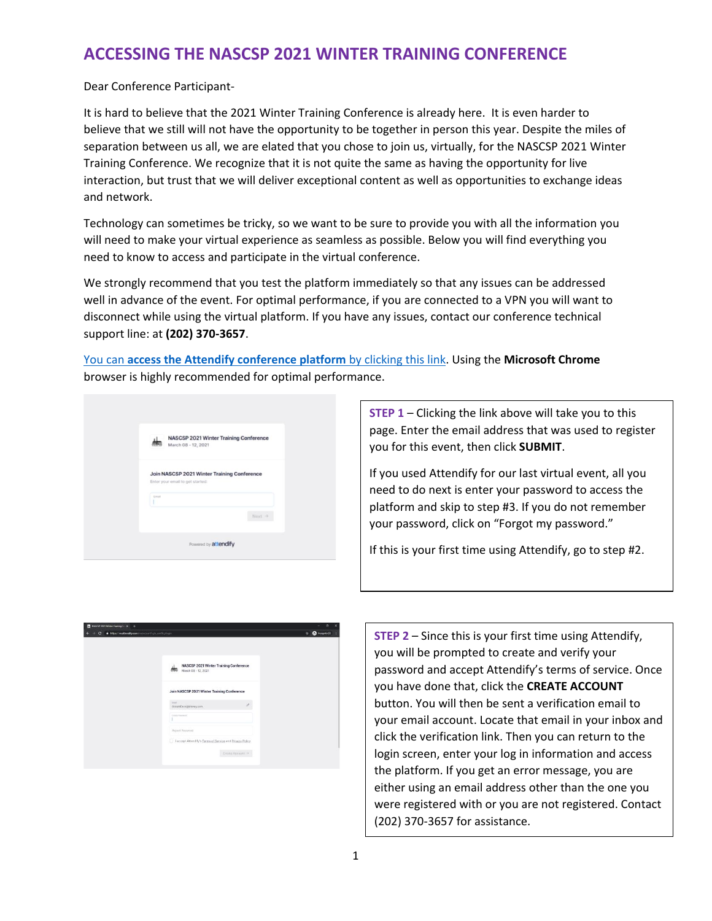### **ACCESSING THE NASCSP 2021 WINTER TRAINING CONFERENCE**

Dear Conference Participant-

It is hard to believe that the 2021 Winter Training Conference is already here. It is even harder to believe that we still will not have the opportunity to be together in person this year. Despite the miles of separation between us all, we are elated that you chose to join us, virtually, for the NASCSP 2021 Winter Training Conference. We recognize that it is not quite the same as having the opportunity for live interaction, but trust that we will deliver exceptional content as well as opportunities to exchange ideas and network.

Technology can sometimes be tricky, so we want to be sure to provide you with all the information you will need to make your virtual experience as seamless as possible. Below you will find everything you need to know to access and participate in the virtual conference.

We strongly recommend that you test the platform immediately so that any issues can be addressed well in advance of the event. For optimal performance, if you are connected to a VPN you will want to disconnect while using the virtual platform. If you have any issues, contact our conference technical support line: at **(202) 370-3657**.

You can **[access the Attendify conference platform](https://ve.attendify.com/index/uml1cj/s_uml1cj/)** by clicking this link. Using the **Microsoft Chrome** browser is highly recommended for optimal performance.

| NASCSP 2021 Winter Training Conference<br>March 08 - 12, 2021                            |
|------------------------------------------------------------------------------------------|
| Join NASCSP 2021 Winter Training Conference<br>Enter your email to get started:<br>Email |
| Next ->                                                                                  |
| Powered by attendify                                                                     |

**STEP 1** – Clicking the link above will take you to this page. Enter the email address that was used to register you for this event, then click **SUBMIT**.

If you used Attendify for our last virtual event, all you need to do next is enter your password to access the platform and skip to step #3. If you do not remember your password, click on "Forgot my password."

If this is your first time using Attendify, go to step #2.



**STEP 2** – Since this is your first time using Attendify, you will be prompted to create and verify your password and accept Attendify's terms of service. Once you have done that, click the **CREATE ACCOUNT** button. You will then be sent a verification email to your email account. Locate that email in your inbox and click the verification link. Then you can return to the login screen, enter your log in information and access the platform. If you get an error message, you are either using an email address other than the one you were registered with or you are not registered. Contact (202) 370-3657 for assistance.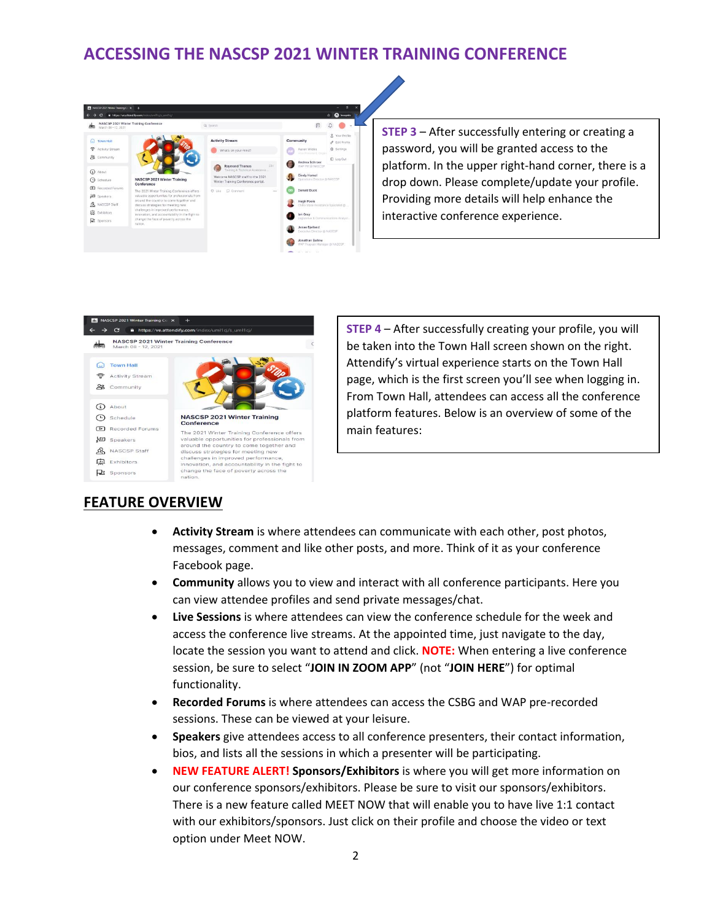## **ACCESSING THE NASCSP 2021 WINTER TRAINING CONFERENCE**



**STEP 3** – After successfully entering or creating a password, you will be granted access to the platform. In the upper right-hand corner, there is a drop down. Please complete/update your profile. Providing more details will help enhance the interactive conference experience.



**STEP 4** – After successfully creating your profile, you will be taken into the Town Hall screen shown on the right. Attendify's virtual experience starts on the Town Hall page, which is the first screen you'll see when logging in. From Town Hall, attendees can access all the conference platform features. Below is an overview of some of the main features:

#### **FEATURE OVERVIEW**

- **Activity Stream** is where attendees can communicate with each other, post photos, messages, comment and like other posts, and more. Think of it as your conference Facebook page.
- **Community** allows you to view and interact with all conference participants. Here you can view attendee profiles and send private messages/chat.
- **Live Sessions** is where attendees can view the conference schedule for the week and access the conference live streams. At the appointed time, just navigate to the day, locate the session you want to attend and click. **NOTE:** When entering a live conference session, be sure to select "**JOIN IN ZOOM APP**" (not "**JOIN HERE**") for optimal functionality.
- **Recorded Forums** is where attendees can access the CSBG and WAP pre-recorded sessions. These can be viewed at your leisure.
- **Speakers** give attendees access to all conference presenters, their contact information, bios, and lists all the sessions in which a presenter will be participating.
- **NEW FEATURE ALERT! Sponsors/Exhibitors** is where you will get more information on our conference sponsors/exhibitors. Please be sure to visit our sponsors/exhibitors. There is a new feature called MEET NOW that will enable you to have live 1:1 contact with our exhibitors/sponsors. Just click on their profile and choose the video or text option under Meet NOW.